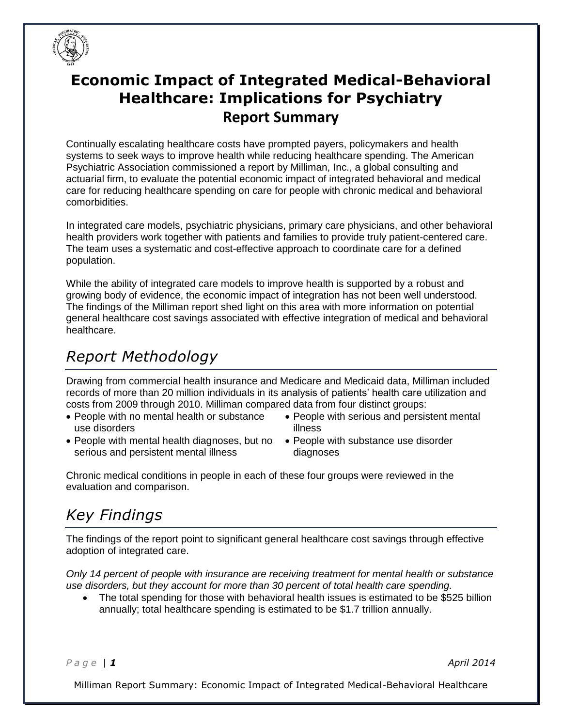

## **Economic Impact of Integrated Medical-Behavioral Healthcare: Implications for Psychiatry Report Summary**

Continually escalating healthcare costs have prompted payers, policymakers and health systems to seek ways to improve health while reducing healthcare spending. The American Psychiatric Association commissioned a report by Milliman, Inc., a global consulting and actuarial firm, to evaluate the potential economic impact of integrated behavioral and medical care for reducing healthcare spending on care for people with chronic medical and behavioral comorbidities.

In integrated care models, psychiatric physicians, primary care physicians, and other behavioral health providers work together with patients and families to provide truly patient-centered care. The team uses a systematic and cost-effective approach to coordinate care for a defined population.

While the ability of integrated care models to improve health is supported by a robust and growing body of evidence, the economic impact of integration has not been well understood. The findings of the Milliman report shed light on this area with more information on potential general healthcare cost savings associated with effective integration of medical and behavioral healthcare.

## *Report Methodology*

Drawing from commercial health insurance and Medicare and Medicaid data, Milliman included records of more than 20 million individuals in its analysis of patients' health care utilization and costs from 2009 through 2010. Milliman compared data from four distinct groups:

- People with no mental health or substance use disorders
- People with mental health diagnoses, but no serious and persistent mental illness
- People with serious and persistent mental illness
- People with substance use disorder diagnoses

Chronic medical conditions in people in each of these four groups were reviewed in the evaluation and comparison.

## *Key Findings*

The findings of the report point to significant general healthcare cost savings through effective adoption of integrated care.

*Only 14 percent of people with insurance are receiving treatment for mental health or substance use disorders, but they account for more than 30 percent of total health care spending.*

 The total spending for those with behavioral health issues is estimated to be \$525 billion annually; total healthcare spending is estimated to be \$1.7 trillion annually.

*P a g e | 1 April 2014*

Milliman Report Summary: Economic Impact of Integrated Medical-Behavioral Healthcare